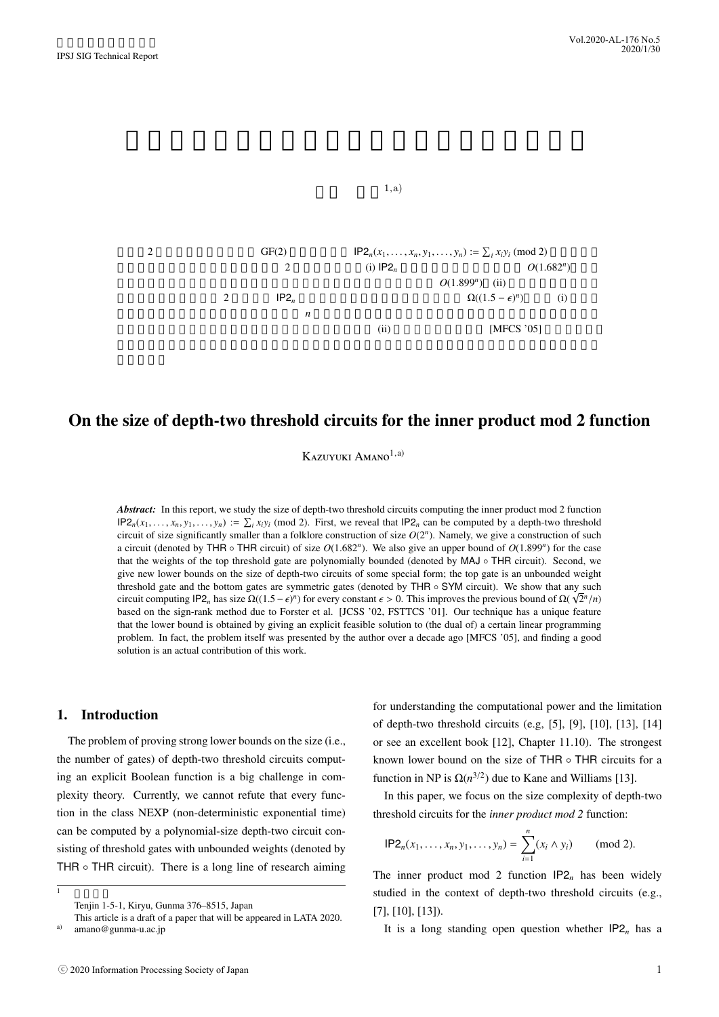

# On the size of depth-two threshold circuits for the inner product mod 2 function

Kazuyuki Amano<sup>1,a)</sup>

*Abstract:* In this report, we study the size of depth-two threshold circuits computing the inner product mod 2 function  $IP2_n(x_1, \ldots, x_n, y_1, \ldots, y_n) := \sum_i x_i y_i \pmod{2}$ . First, we reveal that  $IP2_n$  can be computed by a depth-two threshold circuit of size significantly smaller than a folklore construction of size  $O(2^n)$ . Namely, we give a construction of such a circuit (denoted by THR  $\circ$  THR circuit) of size  $O(1.682<sup>n</sup>)$ . We also give an upper bound of  $O(1.899<sup>n</sup>)$  for the case that the weights of the top threshold gate are polynomially bounded (denoted by MAJ ◦ THR circuit). Second, we give new lower bounds on the size of depth-two circuits of some special form; the top gate is an unbounded weight threshold gate and the bottom gates are symmetric gates (denoted by THR  $\circ$  SYM circuit). We show that any such circuit computing IP2<sub>n</sub> has size  $\Omega((1.5 - \epsilon)^n)$  for every constant  $\epsilon > 0$ . This improves the previous bound of  $\Omega(\sqrt{2^n}/n)$ based on the sign-rank method due to Forster et al. [JCSS '02, FSTTCS '01]. Our technique has a unique feature that the lower bound is obtained by giving an explicit feasible solution to (the dual of) a certain linear programming problem. In fact, the problem itself was presented by the author over a decade ago [MFCS '05], and finding a good solution is an actual contribution of this work.

## 1. Introduction

 $1 \quad \text{if} \quad \text{if} \quad \text{if} \quad \text{if} \quad \text{if} \quad \text{if} \quad \text{if} \quad \text{if} \quad \text{if} \quad \text{if} \quad \text{if} \quad \text{if} \quad \text{if} \quad \text{if} \quad \text{if} \quad \text{if} \quad \text{if} \quad \text{if} \quad \text{if} \quad \text{if} \quad \text{if} \quad \text{if} \quad \text{if} \quad \text{if} \quad \text{if} \quad \text{if} \quad \text{if} \quad \text{if} \quad \text{if} \quad \text{if} \quad \text{if} \quad$ 

The problem of proving strong lower bounds on the size (i.e., the number of gates) of depth-two threshold circuits computing an explicit Boolean function is a big challenge in complexity theory. Currently, we cannot refute that every function in the class NEXP (non-deterministic exponential time) can be computed by a polynomial-size depth-two circuit consisting of threshold gates with unbounded weights (denoted by THR  $\circ$  THR circuit). There is a long line of research aiming

for understanding the computational power and the limitation of depth-two threshold circuits (e.g, [5], [9], [10], [13], [14] or see an excellent book [12], Chapter 11.10). The strongest known lower bound on the size of THR ◦ THR circuits for a function in NP is  $\Omega(n^{3/2})$  due to Kane and Williams [13].

In this paper, we focus on the size complexity of depth-two threshold circuits for the *inner product mod 2* function:

$$
\mathsf{IP2}_n(x_1,\ldots,x_n,y_1,\ldots,y_n)=\sum_{i=1}^n(x_i\wedge y_i)\qquad \ (\mathrm{mod}\ 2).
$$

The inner product mod 2 function  $IP2<sub>n</sub>$  has been widely studied in the context of depth-two threshold circuits (e.g., [7], [10], [13]).

It is a long standing open question whether  $IP2<sub>n</sub>$  has a

Tenjin 1-5-1, Kiryu, Gunma 376–8515, Japan

This article is a draft of a paper that will be appeared in LATA 2020. amano@gunma-u.ac.jp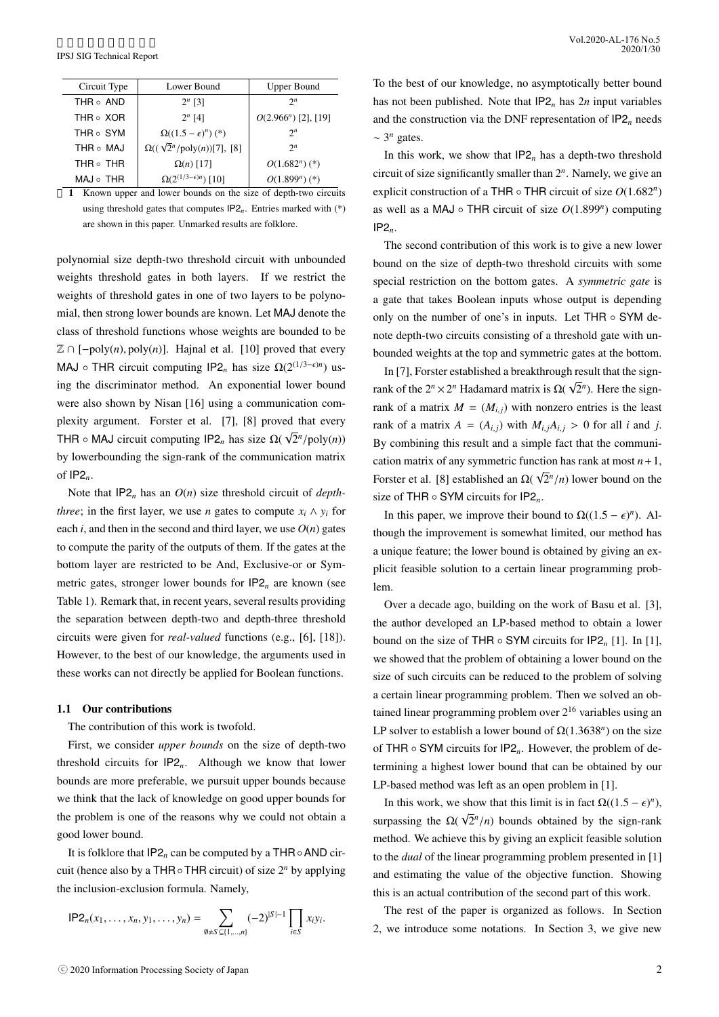| Circuit Type    | Lower Bound                                   | <b>Upper Bound</b>          |  |  |
|-----------------|-----------------------------------------------|-----------------------------|--|--|
| THR o AND       | $2^{n}$ [3]                                   | $2^n$                       |  |  |
| THR o XOR       | $2^{n}$ [4]                                   | $O(2.966^n)$ [2], [19]      |  |  |
| THR o SYM       | $\Omega((1.5-\epsilon)^n)(*)$                 | $2^n$                       |  |  |
| THR o MAJ       | $\Omega((\sqrt{2}^n/\text{poly}(n))[7], [8])$ | $2^n$                       |  |  |
| THR $\circ$ THR | $\Omega(n)$ [17]                              | $O(1.682^n)$ (*)            |  |  |
| $MAJ \circ THR$ | $\Omega(2^{(1/3-\epsilon)n})$ [10]            | $O(1.899^n)$ (*)            |  |  |
|                 | .                                             | $\sim$ $\sim$ $\sim$ $\sim$ |  |  |

1 Known upper and lower bounds on the size of depth-two circuits using threshold gates that computes  $IP2<sub>n</sub>$ . Entries marked with  $(*)$ are shown in this paper. Unmarked results are folklore.

polynomial size depth-two threshold circuit with unbounded weights threshold gates in both layers. If we restrict the weights of threshold gates in one of two layers to be polynomial, then strong lower bounds are known. Let MAJ denote the class of threshold functions whose weights are bounded to be Z ∩ [−poly(*n*), poly(*n*)]. Hajnal et al. [10] proved that every MAJ ∘ THR circuit computing  $IP2_n$  has size  $\Omega(2^{(1/3-\epsilon)n})$  using the discriminator method. An exponential lower bound were also shown by Nisan [16] using a communication complexity argument. Forster et al. [7], [8] proved that every THR  $\circ$  MAJ circuit computing IP2<sub>n</sub> has size  $\Omega(\sqrt{2}^n/\text{poly}(n))$ by lowerbounding the sign-rank of the communication matrix of IP2*n*.

Note that IP2*<sup>n</sup>* has an *O*(*n*) size threshold circuit of *depththree*; in the first layer, we use *n* gates to compute  $x_i \wedge y_i$  for each *i*, and then in the second and third layer, we use  $O(n)$  gates to compute the parity of the outputs of them. If the gates at the bottom layer are restricted to be And, Exclusive-or or Symmetric gates, stronger lower bounds for IP2*<sup>n</sup>* are known (see Table 1). Remark that, in recent years, several results providing the separation between depth-two and depth-three threshold circuits were given for *real-valued* functions (e.g., [6], [18]). However, to the best of our knowledge, the arguments used in these works can not directly be applied for Boolean functions.

#### 1.1 Our contributions

The contribution of this work is twofold.

First, we consider *upper bounds* on the size of depth-two threshold circuits for IP2*n*. Although we know that lower bounds are more preferable, we pursuit upper bounds because we think that the lack of knowledge on good upper bounds for the problem is one of the reasons why we could not obtain a good lower bound.

It is folklore that IP2*<sup>n</sup>* can be computed by a THR◦AND circuit (hence also by a THR◦THR circuit) of size 2*<sup>n</sup>* by applying the inclusion-exclusion formula. Namely,

$$
\mathsf{IP2}_n(x_1,\ldots,x_n,y_1,\ldots,y_n)=\sum_{\emptyset\neq S\subseteq\{1,\ldots,n\}}(-2)^{|S|-1}\prod_{i\in S}x_iy_i.
$$

To the best of our knowledge, no asymptotically better bound has not been published. Note that IP2*<sup>n</sup>* has 2*n* input variables and the construction via the DNF representation of  $IP2<sub>n</sub>$  needs  $~\sim$  3<sup>*n*</sup> gates.

In this work, we show that IP2*<sup>n</sup>* has a depth-two threshold circuit of size significantly smaller than 2*<sup>n</sup>* . Namely, we give an explicit construction of a THR ◦ THR circuit of size *O*(1.682*<sup>n</sup>* ) as well as a MAJ ◦ THR circuit of size *O*(1.899*<sup>n</sup>* ) computing IP2*n*.

The second contribution of this work is to give a new lower bound on the size of depth-two threshold circuits with some special restriction on the bottom gates. A *symmetric gate* is a gate that takes Boolean inputs whose output is depending only on the number of one's in inputs. Let THR ◦ SYM denote depth-two circuits consisting of a threshold gate with unbounded weights at the top and symmetric gates at the bottom.

In [7], Forster established a breakthrough result that the signrank of the  $2^n \times 2^n$  Hadamard matrix is  $\Omega(\sqrt{n})$  $\overline{2}$ <sup>n</sup>). Here the signrank of a matrix  $M = (M_{i,j})$  with nonzero entries is the least rank of a matrix  $A = (A_{i,j})$  with  $M_{i,j}A_{i,j} > 0$  for all *i* and *j*. By combining this result and a simple fact that the communication matrix of any symmetric function has rank at most  $n+1$ , Forster et al. [8] established an  $\Omega($ √  $\sqrt{2}$ <sup>*n*</sup>/*n*) lower bound on the size of THR ◦ SYM circuits for IP2*n*.

In this paper, we improve their bound to  $\Omega((1.5 - \epsilon)^n)$ . Although the improvement is somewhat limited, our method has a unique feature; the lower bound is obtained by giving an explicit feasible solution to a certain linear programming problem.

Over a decade ago, building on the work of Basu et al. [3], the author developed an LP-based method to obtain a lower bound on the size of THR  $\circ$  SYM circuits for  $IP2_n$  [1]. In [1], we showed that the problem of obtaining a lower bound on the size of such circuits can be reduced to the problem of solving a certain linear programming problem. Then we solved an obtained linear programming problem over  $2^{16}$  variables using an LP solver to establish a lower bound of  $\Omega(1.3638^n)$  on the size of THR ◦ SYM circuits for IP2*n*. However, the problem of determining a highest lower bound that can be obtained by our LP-based method was left as an open problem in [1].

In this work, we show that this limit is in fact  $\Omega((1.5 - \epsilon)^n)$ , surpassing the  $\Omega$ √  $\sqrt{2}$ <sup>*n*</sup>/*n*) bounds obtained by the sign-rank method. We achieve this by giving an explicit feasible solution to the *dual* of the linear programming problem presented in [1] and estimating the value of the objective function. Showing this is an actual contribution of the second part of this work.

The rest of the paper is organized as follows. In Section 2, we introduce some notations. In Section 3, we give new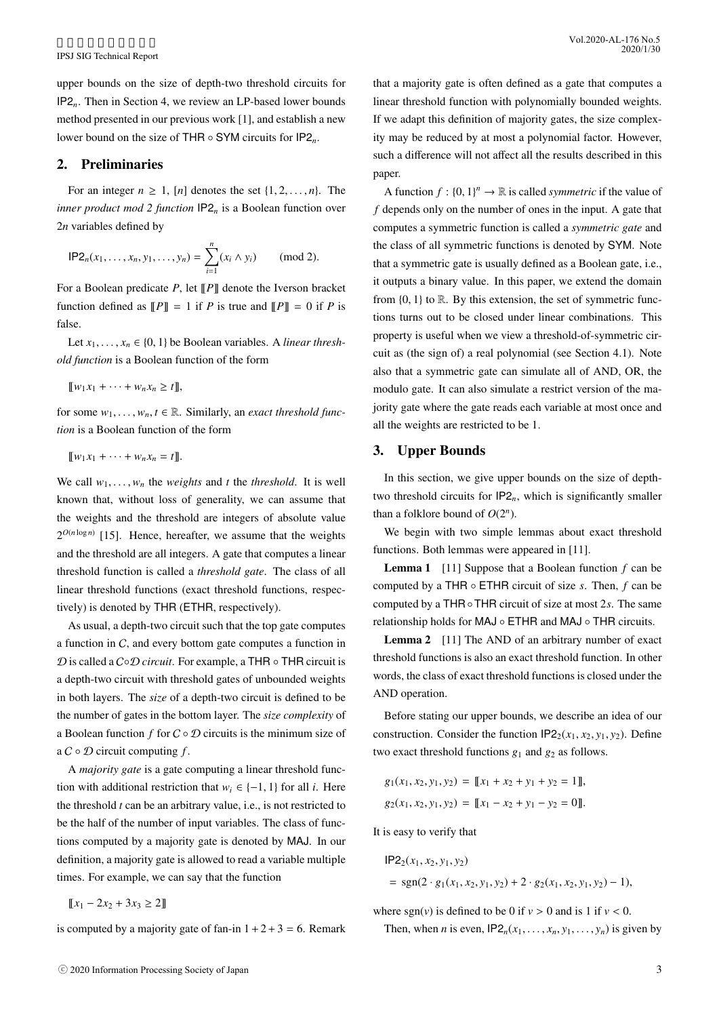upper bounds on the size of depth-two threshold circuits for IP2*n*. Then in Section 4, we review an LP-based lower bounds method presented in our previous work [1], and establish a new lower bound on the size of THR ◦ SYM circuits for IP2*n*.

# 2. Preliminaries

For an integer  $n \geq 1$ ,  $[n]$  denotes the set  $\{1, 2, \ldots, n\}$ . The *inner product mod 2 function* IP2*<sup>n</sup>* is a Boolean function over 2*n* variables defined by

$$
\mathsf{IP2}_n(x_1,\ldots,x_n,y_1,\ldots,y_n)=\sum_{i=1}^n(x_i\wedge y_i)\qquad \text{(mod 2)}.
$$

For a Boolean predicate *P*, let  $\llbracket P \rrbracket$  denote the Iverson bracket function defined as  $\llbracket P \rrbracket = 1$  if *P* is true and  $\llbracket P \rrbracket = 0$  if *P* is false.

Let  $x_1, \ldots, x_n \in \{0, 1\}$  be Boolean variables. A *linear threshold function* is a Boolean function of the form

 $\llbracket w_1 x_1 + \cdots + w_n x_n \geq t \rrbracket$ ,

for some  $w_1, \ldots, w_n, t \in \mathbb{R}$ . Similarly, an *exact threshold function* is a Boolean function of the form

$$
[\![w_1x_1+\cdots+w_nx_n=t]\!].
$$

We call  $w_1, \ldots, w_n$  the *weights* and *t* the *threshold*. It is well known that, without loss of generality, we can assume that the weights and the threshold are integers of absolute value  $2^{O(n \log n)}$  [15]. Hence, hereafter, we assume that the weights and the threshold are all integers. A gate that computes a linear threshold function is called a *threshold gate*. The class of all linear threshold functions (exact threshold functions, respectively) is denoted by THR (ETHR, respectively).

As usual, a depth-two circuit such that the top gate computes a function in C, and every bottom gate computes a function in D is called a C◦D *circuit*. For example, a THR ◦ THR circuit is a depth-two circuit with threshold gates of unbounded weights in both layers. The *size* of a depth-two circuit is defined to be the number of gates in the bottom layer. The *size complexity* of a Boolean function *f* for C ◦ D circuits is the minimum size of a C ◦ D circuit computing *f* .

A *majority gate* is a gate computing a linear threshold function with additional restriction that  $w_i \in \{-1, 1\}$  for all *i*. Here the threshold *t* can be an arbitrary value, i.e., is not restricted to be the half of the number of input variables. The class of functions computed by a majority gate is denoted by MAJ. In our definition, a majority gate is allowed to read a variable multiple times. For example, we can say that the function

$$
[\![x_1 - 2x_2 + 3x_3 \ge 2]\!]
$$

is computed by a majority gate of fan-in  $1+2+3=6$ . Remark

A function  $f : \{0, 1\}^n \to \mathbb{R}$  is called *symmetric* if the value of *f* depends only on the number of ones in the input. A gate that computes a symmetric function is called a *symmetric gate* and the class of all symmetric functions is denoted by SYM. Note that a symmetric gate is usually defined as a Boolean gate, i.e., it outputs a binary value. In this paper, we extend the domain from  $\{0, 1\}$  to  $\mathbb R$ . By this extension, the set of symmetric functions turns out to be closed under linear combinations. This property is useful when we view a threshold-of-symmetric circuit as (the sign of) a real polynomial (see Section 4.1). Note also that a symmetric gate can simulate all of AND, OR, the modulo gate. It can also simulate a restrict version of the majority gate where the gate reads each variable at most once and all the weights are restricted to be 1.

# 3. Upper Bounds

In this section, we give upper bounds on the size of depthtwo threshold circuits for  $IP2_n$ , which is significantly smaller than a folklore bound of  $O(2^n)$ .

We begin with two simple lemmas about exact threshold functions. Both lemmas were appeared in [11].

Lemma 1 [11] Suppose that a Boolean function *f* can be computed by a THR ◦ ETHR circuit of size *s*. Then, *f* can be computed by a THR◦THR circuit of size at most 2*s*. The same relationship holds for MAJ ◦ ETHR and MAJ ◦ THR circuits.

Lemma 2 [11] The AND of an arbitrary number of exact threshold functions is also an exact threshold function. In other words, the class of exact threshold functions is closed under the AND operation.

Before stating our upper bounds, we describe an idea of our construction. Consider the function  $IP2_2(x_1, x_2, y_1, y_2)$ . Define two exact threshold functions  $g_1$  and  $g_2$  as follows.

$$
g_1(x_1, x_2, y_1, y_2) = [[x_1 + x_2 + y_1 + y_2 = 1]],
$$
  

$$
g_2(x_1, x_2, y_1, y_2) = [[x_1 - x_2 + y_1 - y_2 = 0]].
$$

It is easy to verify that

$$
IP22(x1, x2, y1, y2)
$$
  
= sgn(2 · g<sub>1</sub>(x<sub>1</sub>, x<sub>2</sub>, y<sub>1</sub>, y<sub>2</sub>) + 2 · g<sub>2</sub>(x<sub>1</sub>, x<sub>2</sub>, y<sub>1</sub>, y<sub>2</sub>) – 1),

where  $sgn(v)$  is defined to be 0 if  $v > 0$  and is 1 if  $v < 0$ .

Then, when *n* is even,  $IP2_n(x_1, \ldots, x_n, y_1, \ldots, y_n)$  is given by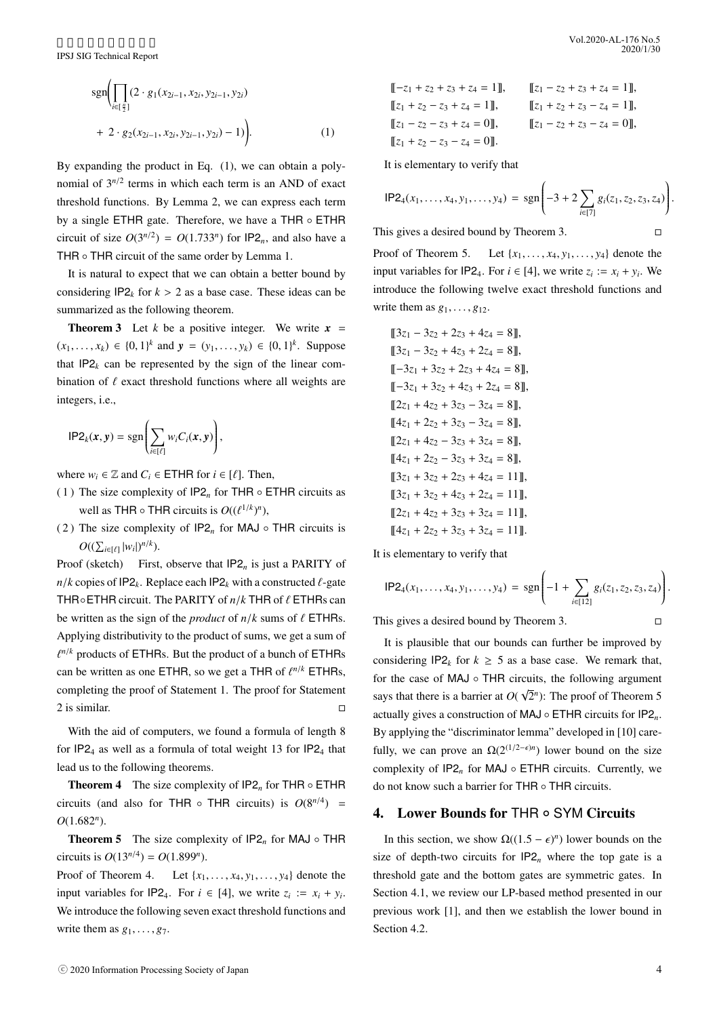$$
sgn\bigg(\prod_{i\in[\frac{n}{2}]}(2\cdot g_1(x_{2i-1}, x_{2i}, y_{2i-1}, y_{2i}) + 2\cdot g_2(x_{2i-1}, x_{2i}, y_{2i-1}, y_{2i}) - 1)\bigg).
$$
\n(1)

By expanding the product in Eq. (1), we can obtain a polynomial of  $3^{n/2}$  terms in which each term is an AND of exact threshold functions. By Lemma 2, we can express each term by a single ETHR gate. Therefore, we have a THR ◦ ETHR circuit of size  $O(3^{n/2}) = O(1.733^n)$  for  $IP2_n$ , and also have a THR ∘ THR circuit of the same order by Lemma 1.

It is natural to expect that we can obtain a better bound by considering  $IP2_k$  for  $k > 2$  as a base case. These ideas can be summarized as the following theorem.

**Theorem 3** Let *k* be a positive integer. We write  $x =$  $(x_1, \ldots, x_k) \in \{0, 1\}^k$  and  $y = (y_1, \ldots, y_k) \in \{0, 1\}^k$ . Suppose that  $IP2_k$  can be represented by the sign of the linear combination of  $\ell$  exact threshold functions where all weights are integers, i.e.,

$$
\mathsf{IP2}_k(x,y)=\mathrm{sgn}\left(\sum_{i\in[\ell]}w_iC_i(x,y)\right),\,
$$

where  $w_i \in \mathbb{Z}$  and  $C_i \in \text{ETHR}$  for  $i \in [\ell]$ . Then,

- (1) The size complexity of  $IP2<sub>n</sub>$  for THR  $\circ$  ETHR circuits as well as THR  $\circ$  THR circuits is  $O((\ell^{1/k})^n)$ ,
- ( 2 ) The size complexity of IP2*<sup>n</sup>* for MAJ THR circuits is  $O((\sum_{i \in [\ell]} |w_i|)^{n/k}).$

Proof (sketch) First, observe that  $IP2<sub>n</sub>$  is just a PARITY of  $n/k$  copies of IP2<sub>k</sub>. Replace each IP2<sub>k</sub> with a constructed  $\ell$ -gate THR◦ETHR circuit. The PARITY of *n*/*k* THR of ℓ ETHRs can be written as the sign of the *product* of  $n/k$  sums of  $\ell$  ETHRs. Applying distributivity to the product of sums, we get a sum of  $\ell^{n/k}$  products of ETHRs. But the product of a bunch of ETHRs can be written as one ETHR, so we get a THR of  $\ell^{n/k}$  ETHRs, completing the proof of Statement 1. The proof for Statement 2 is similar.  $\Box$ 

With the aid of computers, we found a formula of length 8 for  $IP2<sub>4</sub>$  as well as a formula of total weight 13 for  $IP2<sub>4</sub>$  that lead us to the following theorems.

**Theorem 4** The size complexity of  $IP2<sub>n</sub>$  for THR  $\circ$  ETHR circuits (and also for THR  $\circ$  THR circuits) is  $O(8^{n/4})$  = *O*(1.682*<sup>n</sup>* ).

**Theorem 5** The size complexity of  $IP2<sub>n</sub>$  for MAJ  $\circ$  THR circuits is  $O(13^{n/4}) = O(1.899^n)$ .

Proof of Theorem 4. Let  $\{x_1, \ldots, x_4, y_1, \ldots, y_4\}$  denote the input variables for  $IP2_4$ . For  $i \in [4]$ , we write  $z_i := x_i + y_i$ . We introduce the following seven exact threshold functions and write them as  $g_1, \ldots, g_7$ .

$$
[[-z1 + z2 + z3 + z4 = 1]], \t [z1 - z2 + z3 + z4 = 1],\t [z1 + z2 - z3 + z4 = 1], \t [z1 + z2 + z3 - z4 = 1],\t [z1 - z2 - z3 + z4 = 0], \t [z1 - z2 + z3 - z4 = 0],\t [z1 + z2 - z3 - z4 = 0].
$$

It is elementary to verify that

$$
\mathsf{IP2}_4(x_1,\ldots,x_4,y_1,\ldots,y_4)=\mathrm{sgn}\Biggl(-3+2\sum_{i\in[7]}g_i(z_1,z_2,z_3,z_4)\Biggr).
$$

introduce the following twelve exact threshold functions and

This gives a desired bound by Theorem 3.  $□$ 

Proof of Theorem 5. Let  $\{x_1, \ldots, x_4, y_1, \ldots, y_4\}$  denote the input variables for  $IP2_4$ . For  $i \in [4]$ , we write  $z_i := x_i + y_i$ . We

write them as 
$$
g_1, \ldots, g_{12}
$$
.  
\n[ $3z_1 - 3z_2 + 2z_3 + 4z_4 = 8$ ],  
\n[ $3z_1 - 3z_2 + 4z_3 + 2z_4 = 8$ ],  
\n[- $3z_1 + 3z_2 + 2z_3 + 4z_4 = 8$ ],  
\n[- $3z_1 + 3z_2 + 4z_3 + 2z_4 = 8$ ],  
\n[ $2z_1 + 4z_2 + 3z_3 - 3z_4 = 8$ ],  
\n[ $4z_1 + 2z_2 + 3z_3 - 3z_4 = 8$ ],  
\n[ $2z_1 + 4z_2 - 3z_3 + 3z_4 = 8$ ],  
\n[ $4z_1 + 2z_2 - 3z_3 + 3z_4 = 8$ ],  
\n[ $3z_1 + 3z_2 + 2z_3 + 4z_4 = 11$ ],  
\n[ $3z_1 + 3z_2 + 4z_3 + 2z_4 = 11$ ],  
\n[ $2z_1 + 4z_2 + 3z_3 + 3z_4 = 11$ ],  
\n[ $4z_1 + 2z_2 + 3z_3 + 3z_4 = 11$ ].

It is elementary to verify that

$$
\mathsf{IP2}_4(x_1,\ldots,x_4,y_1,\ldots,y_4)=\mathrm{sgn}\Biggl(-1+\sum_{i\in[12]}g_i(z_1,z_2,z_3,z_4)\Biggr).
$$

This gives a desired bound by Theorem 3.  $□$ 

It is plausible that our bounds can further be improved by considering  $IP2_k$  for  $k \geq 5$  as a base case. We remark that, for the case of MAJ ∘ THR circuits, the following argument says that there is a barrier at *O*( √  $\overline{2}^n$ ): The proof of Theorem 5 actually gives a construction of MAJ ◦ ETHR circuits for IP2*n*. By applying the "discriminator lemma" developed in [10] carefully, we can prove an  $\Omega(2^{(1/2-\epsilon)n})$  lower bound on the size complexity of IP2*<sup>n</sup>* for MAJ ◦ ETHR circuits. Currently, we do not know such a barrier for THR ◦ THR circuits.

# 4. Lower Bounds for THR ∘ SYM Circuits

In this section, we show  $\Omega((1.5 - \epsilon)^n)$  lower bounds on the size of depth-two circuits for  $IP2<sub>n</sub>$  where the top gate is a threshold gate and the bottom gates are symmetric gates. In Section 4.1, we review our LP-based method presented in our previous work [1], and then we establish the lower bound in Section 4.2.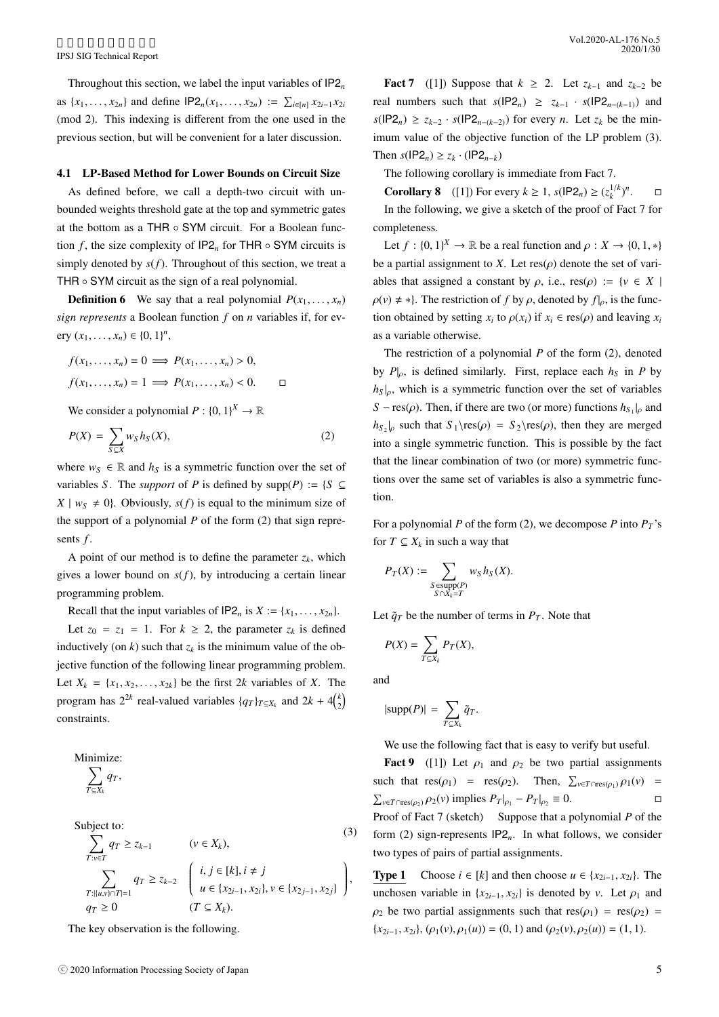Throughout this section, we label the input variables of IP2*<sup>n</sup>* as  $\{x_1, \ldots, x_{2n}\}\$  and define  $IP2_n(x_1, \ldots, x_{2n}) := \sum_{i \in [n]} x_{2i-1}x_{2i}$ (mod 2). This indexing is different from the one used in the previous section, but will be convenient for a later discussion.

### 4.1 LP-Based Method for Lower Bounds on Circuit Size

As defined before, we call a depth-two circuit with unbounded weights threshold gate at the top and symmetric gates at the bottom as a THR ◦ SYM circuit. For a Boolean function *f*, the size complexity of  $IP2<sub>n</sub>$  for THR  $\circ$  SYM circuits is simply denoted by  $s(f)$ . Throughout of this section, we treat a THR ∘ SYM circuit as the sign of a real polynomial.

**Definition 6** We say that a real polynomial  $P(x_1, \ldots, x_n)$ *sign represents* a Boolean function *f* on *n* variables if, for every  $(x_1, ..., x_n) \in \{0, 1\}^n$ ,

$$
f(x_1, \ldots, x_n) = 0 \implies P(x_1, \ldots, x_n) > 0,
$$
\n
$$
f(x_1, \ldots, x_n) = 1 \implies P(x_1, \ldots, x_n) < 0. \qquad \Box
$$

We consider a polynomial  $P: \{0, 1\}^X \to \mathbb{R}$ 

$$
P(X) = \sum_{S \subseteq X} w_S h_S(X), \tag{2}
$$

where  $w_S \in \mathbb{R}$  and  $h_S$  is a symmetric function over the set of variables *S*. The *support* of *P* is defined by  $supp(P) := \{S \subseteq$  $X \mid w_S \neq 0$ . Obviously,  $s(f)$  is equal to the minimum size of the support of a polynomial *P* of the form (2) that sign represents *f* .

A point of our method is to define the parameter  $z_k$ , which gives a lower bound on  $s(f)$ , by introducing a certain linear programming problem.

Recall that the input variables of  $IP2_n$  is  $X := \{x_1, \ldots, x_{2n}\}.$ 

Let  $z_0 = z_1 = 1$ . For  $k \ge 2$ , the parameter  $z_k$  is defined inductively (on  $k$ ) such that  $z_k$  is the minimum value of the objective function of the following linear programming problem. Let  $X_k = \{x_1, x_2, \ldots, x_{2k}\}\)$  be the first 2*k* variables of *X*. The program has  $2^{2k}$  real-valued variables  $\{q_T\}_{T \subseteq X_k}$  and  $2k + 4\binom{k}{2}$ constraints.

Minimize:  

$$
\sum_{T \subset X_k} q_T,
$$

Subject to:

(3)  
\n
$$
\sum_{T:v\in T} q_T \ge z_{k-1} \qquad (v \in X_k),
$$
\n
$$
\sum_{T:|\{u,v\}\cap T|=1} q_T \ge z_{k-2} \quad \left(\begin{array}{c} i,j \in [k], i \neq j \\ u \in \{x_{2i-1}, x_{2i}\}, v \in \{x_{2j-1}, x_{2j}\} \end{array}\right),
$$
\n
$$
q_T \ge 0 \qquad (T \subseteq X_k).
$$
\n(3)

The key observation is the following.

Fact 7 ([1]) Suppose that  $k \geq 2$ . Let  $z_{k-1}$  and  $z_{k-2}$  be real numbers such that  $s(\text{IP2}_n) \ge z_{k-1} \cdot s(\text{IP2}_{n-(k-1)})$  and *s*(IP2<sub>*n*</sub>) ≥ *z*<sub>*k*−2</sub> · *s*(IP2<sub>*n*−(*k*−2)) for every *n*. Let *z<sub>k</sub>* be the min-</sub> imum value of the objective function of the LP problem (3). Then *s*( $IP2_n$ ) ≥ *z*<sub>*k*</sub> · ( $IP2_{n-k}$ )

The following corollary is immediate from Fact 7.

**Corollary 8** ([1]) For every  $k \ge 1$ ,  $s(\text{IP2}_n) \ge (z_k^{1/k})^n$  $\Box$ In the following, we give a sketch of the proof of Fact 7 for completeness.

Let  $f : \{0, 1\}^X \to \mathbb{R}$  be a real function and  $\rho : X \to \{0, 1, *\}$ be a partial assignment to *X*. Let  $res(\rho)$  denote the set of variables that assigned a constant by  $\rho$ , i.e.,  $res(\rho) := \{v \in X \mid$  $\rho(v) \neq *$ . The restriction of *f* by  $\rho$ , denoted by  $f|_{\rho}$ , is the function obtained by setting  $x_i$  to  $\rho(x_i)$  if  $x_i \in \text{res}(\rho)$  and leaving  $x_i$ as a variable otherwise.

The restriction of a polynomial *P* of the form (2), denoted by  $P|_{\rho}$ , is defined similarly. First, replace each  $h_S$  in P by  $h_s|_{\rho}$ , which is a symmetric function over the set of variables *S* − res( $\rho$ ). Then, if there are two (or more) functions  $h_{S_1}|_{\rho}$  and  $h_{S_2}|_{\rho}$  such that  $S_1 \res(\rho) = S_2 \res(\rho)$ , then they are merged into a single symmetric function. This is possible by the fact that the linear combination of two (or more) symmetric functions over the same set of variables is also a symmetric function.

For a polynomial *P* of the form (2), we decompose *P* into  $P_T$ 's for  $T \subseteq X_k$  in such a way that

$$
P_T(X):=\sum_{\substack{S\text{~supp}(P)\\ S\cap X_k=T}}w_Sh_S(X).
$$

Let  $\tilde{q}_T$  be the number of terms in  $P_T$ . Note that

$$
P(X) = \sum_{T \subseteq X_k} P_T(X),
$$

and

$$
|\text{supp}(P)| = \sum_{T \subseteq X_k} \tilde{q}_T.
$$

We use the following fact that is easy to verify but useful.

Fact 9 ([1]) Let  $\rho_1$  and  $\rho_2$  be two partial assignments such that  $res(\rho_1) = res(\rho_2)$ . Then,  $\sum_{v \in T \cap res(\rho_1)} \rho_1(v) =$  $\sum_{v \in T \cap \text{res}(\rho_2)} \rho_2(v)$  implies  $P_T|_{\rho_1} - P_T|_{\rho_2} \equiv 0.$ Proof of Fact 7 (sketch) Suppose that a polynomial P of the form (2) sign-represents IP2*n*. In what follows, we consider two types of pairs of partial assignments.

**Type 1** Choose  $i \in [k]$  and then choose  $u \in \{x_{2i-1}, x_{2i}\}$ . The unchosen variable in  $\{x_{2i-1}, x_{2i}\}$  is denoted by *v*. Let  $\rho_1$  and  $\rho_2$  be two partial assignments such that res( $\rho_1$ ) = res( $\rho_2$ ) =  ${x_{2i-1}, x_{2i}}$ ,  $(\rho_1(v), \rho_1(u)) = (0, 1)$  and  $(\rho_2(v), \rho_2(u)) = (1, 1)$ .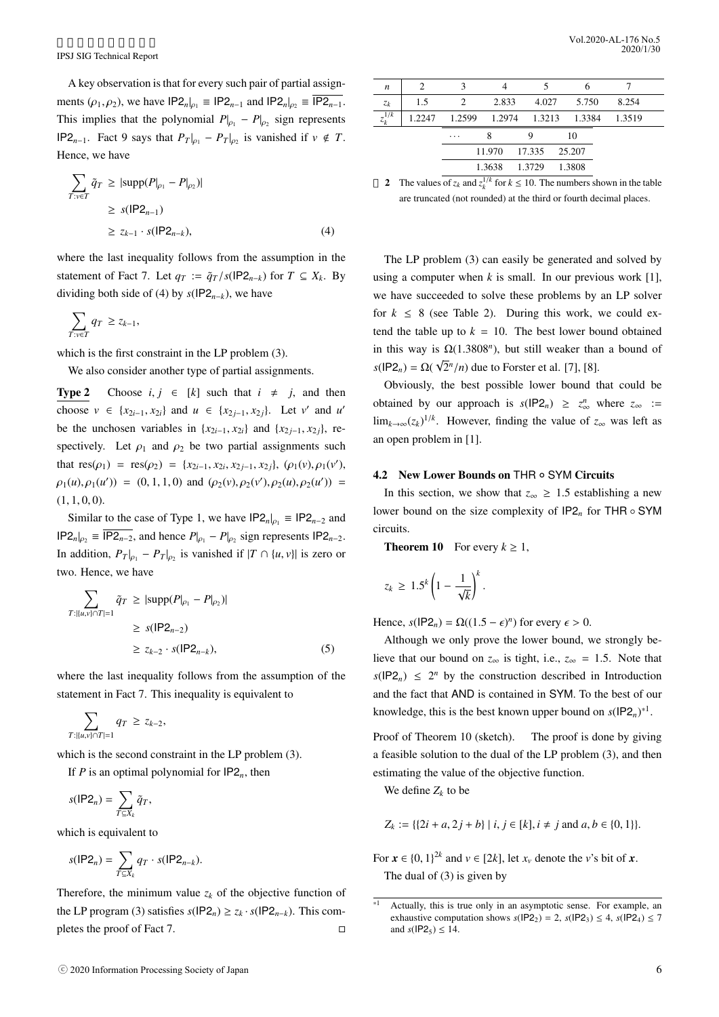A key observation is that for every such pair of partial assignments  $(\rho_1, \rho_2)$ , we have  $IP2_n|_{\rho_1} \equiv IP2_{n-1}$  and  $IP2_n|_{\rho_2} \equiv \overline{IP2_{n-1}}$ . This implies that the polynomial  $P|_{\rho_1} - P|_{\rho_2}$  sign represents IP2<sub>*n*−1</sub>. Fact 9 says that  $P_T|_{\rho_1} - P_T|_{\rho_2}$  is vanished if *v* ∉ *T*. Hence, we have

$$
\sum_{T: v \in T} \tilde{q}_T \ge |\text{supp}(P|_{\rho_1} - P|_{\rho_2})|
$$
\n
$$
\ge s(|P2_{n-1})
$$
\n
$$
\ge z_{k-1} \cdot s(|P2_{n-k}), \tag{4}
$$

where the last inequality follows from the assumption in the statement of Fact 7. Let  $q_T := \tilde{q}_T / s(\text{IP2}_{n-k})$  for  $T \subseteq X_k$ . By dividing both side of (4) by  $s(IP2_{n-k})$ , we have

$$
\sum_{T:v\in T} q_T \ge z_{k-1},
$$

which is the first constraint in the LP problem (3).

We also consider another type of partial assignments.

**Type 2** Choose *i*,  $j \in [k]$  such that  $i \neq j$ , and then choose  $v \in \{x_{2i-1}, x_{2i}\}$  and  $u \in \{x_{2j-1}, x_{2j}\}$ . Let  $v'$  and  $u'$ be the unchosen variables in  $\{x_{2i-1}, x_{2i}\}$  and  $\{x_{2i-1}, x_{2i}\}$ , respectively. Let  $\rho_1$  and  $\rho_2$  be two partial assignments such that  $res(\rho_1) = res(\rho_2) = \{x_{2i-1}, x_{2i}, x_{2j-1}, x_{2j}\}, (\rho_1(v), \rho_1(v'),$  $\rho_1(u), \rho_1(u')$  = (0, 1, 1, 0) and  $(\rho_2(v), \rho_2(v'), \rho_2(u), \rho_2(u'))$  =  $(1, 1, 0, 0).$ 

Similar to the case of Type 1, we have  $IP2_n|_{p_1} \equiv IP2_{n-2}$  and  $IP2_n|_{p_2} \equiv IP2_{n-2}$ , and hence  $P|_{p_1} - P|_{p_2}$  sign represents  $IP2_{n-2}$ . In addition,  $P_T|_{\rho_1} - P_T|_{\rho_2}$  is vanished if  $|T \cap \{u, v\}|$  is zero or two. Hence, we have

$$
\sum_{T: |u,v\rangle \cap T|=1} \tilde{q}_T \ge |\text{supp}(P|_{\rho_1} - P|_{\rho_2})|
$$
\n
$$
\ge s(|P2_{n-2})
$$
\n
$$
\ge z_{k-2} \cdot s(|P2_{n-k}), \tag{5}
$$

where the last inequality follows from the assumption of the statement in Fact 7. This inequality is equivalent to

$$
\sum_{T: |\{u,v\} \cap T|=1} q_T \ge z_{k-2},
$$

which is the second constraint in the LP problem (3).

If *P* is an optimal polynomial for  $IP2_n$ , then

$$
s(\mathsf{IP2}_n) = \sum_{T \subseteq X_k} \tilde{q}_T,
$$

which is equivalent to

$$
s(\mathsf{IP2}_n) = \sum_{T \subseteq X_k} q_T \cdot s(\mathsf{IP2}_{n-k}).
$$

Therefore, the minimum value  $z_k$  of the objective function of the LP program (3) satisfies  $s(\text{IP2}_n) \ge z_k \cdot s(\text{IP2}_{n-k})$ . This completes the proof of Fact 7.  $\Box$ 

| $\boldsymbol{n}$       | 2   | $\mathbf{3}$ |               |                                    |        |       |        |  |
|------------------------|-----|--------------|---------------|------------------------------------|--------|-------|--------|--|
| $z_k$                  | 1.5 | 2            | 2.833         | 4.027                              |        | 5.750 | 8.254  |  |
| $\overline{z_k^{1/k}}$ |     |              |               | 1.2247 1.2599 1.2974 1.3213 1.3384 |        |       | 1.3519 |  |
|                        |     | .            | 8             |                                    |        | 10    |        |  |
|                        |     |              |               | 11.970 17.335 25.207               |        |       |        |  |
|                        |     |              | 1.3638 1.3729 |                                    | 1.3808 |       |        |  |
|                        |     |              | $\cdots$      |                                    |        |       |        |  |

2 The values of  $z_k$  and  $z_k^{1/k}$  for  $k \le 10$ . The numbers shown in the table are truncated (not rounded) at the third or fourth decimal places.

The LP problem (3) can easily be generated and solved by using a computer when  $k$  is small. In our previous work [1], we have succeeded to solve these problems by an LP solver for  $k \leq 8$  (see Table 2). During this work, we could extend the table up to  $k = 10$ . The best lower bound obtained in this way is  $\Omega(1.3808^n)$ , but still weaker than a bound of  $s(\textsf{IP2}_n) = \Omega($ √  $\sqrt{2}$ <sup>*n*</sup>/*n*) due to Forster et al. [7], [8].

Obviously, the best possible lower bound that could be obtained by our approach is  $s(\text{IP2}_n) \geq z_{\infty}^n$  where  $z_{\infty}$  := lim<sub>*k*→∞(*zk*</sub>)<sup>1/*k*</sup>. However, finding the value of *z*∞ was left as an open problem in [1].

# 4.2 New Lower Bounds on THR ◦ SYM Circuits

In this section, we show that  $z_{\infty} \geq 1.5$  establishing a new lower bound on the size complexity of IP2*<sup>n</sup>* for THR ◦ SYM circuits.

**Theorem 10** For every  $k \geq 1$ ,

$$
z_k \geq 1.5^k \left(1 - \frac{1}{\sqrt{k}}\right)^k.
$$

Hence,  $s(\text{IP2}_n) = \Omega((1.5 - \epsilon)^n)$  for every  $\epsilon > 0$ .

Although we only prove the lower bound, we strongly believe that our bound on  $z_{\infty}$  is tight, i.e.,  $z_{\infty} = 1.5$ . Note that  $s(\text{IP2}_n) \leq 2^n$  by the construction described in Introduction and the fact that AND is contained in SYM. To the best of our knowledge, this is the best known upper bound on  $s(\text{IP2}_n)^*$ <sup>1</sup>.

Proof of Theorem 10 (sketch). The proof is done by giving a feasible solution to the dual of the LP problem (3), and then estimating the value of the objective function.

We define  $Z_k$  to be

$$
Z_k := \{ \{2i + a, 2j + b\} \mid i, j \in [k], i \neq j \text{ and } a, b \in \{0, 1\} \}.
$$

For  $\mathbf{x} \in \{0, 1\}^{2k}$  and  $v \in [2k]$ , let  $x_v$  denote the *v*'s bit of  $\mathbf{x}$ . The dual of (3) is given by

 $*1$  Actually, this is true only in an asymptotic sense. For example, an exhaustive computation shows  $s(\text{IP2}_2) = 2$ ,  $s(\text{IP2}_3) \leq 4$ ,  $s(\text{IP2}_4) \leq 7$ and  $s($ **IP2**<sub>5</sub> $) \le 14$ .